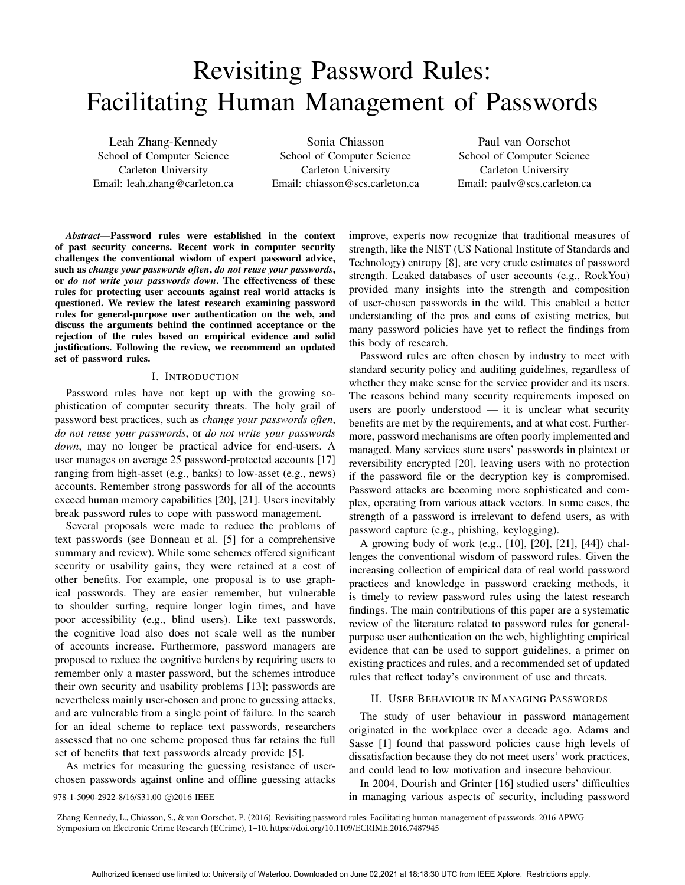# Revisiting Password Rules: Facilitating Human Management of Passwords

Leah Zhang-Kennedy School of Computer Science Carleton University Email: leah.zhang@carleton.ca

Sonia Chiasson School of Computer Science Carleton University Email: chiasson@scs.carleton.ca

Paul van Oorschot School of Computer Science Carleton University Email: paulv@scs.carleton.ca

*Abstract*—Password rules were established in the context of past security concerns. Recent work in computer security challenges the conventional wisdom of expert password advice, such as *change your passwords often*, *do not reuse your passwords*, or *do not write your passwords down*. The effectiveness of these rules for protecting user accounts against real world attacks is questioned. We review the latest research examining password rules for general-purpose user authentication on the web, and discuss the arguments behind the continued acceptance or the rejection of the rules based on empirical evidence and solid justifications. Following the review, we recommend an updated set of password rules.

#### I. INTRODUCTION

Password rules have not kept up with the growing sophistication of computer security threats. The holy grail of password best practices, such as *change your passwords often*, *do not reuse your passwords*, or *do not write your passwords down*, may no longer be practical advice for end-users. A user manages on average 25 password-protected accounts [17] ranging from high-asset (e.g., banks) to low-asset (e.g., news) accounts. Remember strong passwords for all of the accounts exceed human memory capabilities [20], [21]. Users inevitably break password rules to cope with password management.

Several proposals were made to reduce the problems of text passwords (see Bonneau et al. [5] for a comprehensive summary and review). While some schemes offered significant security or usability gains, they were retained at a cost of other benefits. For example, one proposal is to use graphical passwords. They are easier remember, but vulnerable to shoulder surfing, require longer login times, and have poor accessibility (e.g., blind users). Like text passwords, the cognitive load also does not scale well as the number of accounts increase. Furthermore, password managers are proposed to reduce the cognitive burdens by requiring users to remember only a master password, but the schemes introduce their own security and usability problems [13]; passwords are nevertheless mainly user-chosen and prone to guessing attacks, and are vulnerable from a single point of failure. In the search for an ideal scheme to replace text passwords, researchers assessed that no one scheme proposed thus far retains the full set of benefits that text passwords already provide [5].

As metrics for measuring the guessing resistance of userchosen passwords against online and offline guessing attacks

improve, experts now recognize that traditional measures of strength, like the NIST (US National Institute of Standards and Technology) entropy [8], are very crude estimates of password strength. Leaked databases of user accounts (e.g., RockYou) provided many insights into the strength and composition of user-chosen passwords in the wild. This enabled a better understanding of the pros and cons of existing metrics, but many password policies have yet to reflect the findings from this body of research.

Password rules are often chosen by industry to meet with standard security policy and auditing guidelines, regardless of whether they make sense for the service provider and its users. The reasons behind many security requirements imposed on users are poorly understood — it is unclear what security benefits are met by the requirements, and at what cost. Furthermore, password mechanisms are often poorly implemented and managed. Many services store users' passwords in plaintext or reversibility encrypted [20], leaving users with no protection if the password file or the decryption key is compromised. Password attacks are becoming more sophisticated and complex, operating from various attack vectors. In some cases, the strength of a password is irrelevant to defend users, as with password capture (e.g., phishing, keylogging).

A growing body of work (e.g., [10], [20], [21], [44]) challenges the conventional wisdom of password rules. Given the increasing collection of empirical data of real world password practices and knowledge in password cracking methods, it is timely to review password rules using the latest research findings. The main contributions of this paper are a systematic review of the literature related to password rules for generalpurpose user authentication on the web, highlighting empirical evidence that can be used to support guidelines, a primer on existing practices and rules, and a recommended set of updated rules that reflect today's environment of use and threats.

#### II. USER BEHAVIOUR IN MANAGING PASSWORDS

The study of user behaviour in password management originated in the workplace over a decade ago. Adams and Sasse [1] found that password policies cause high levels of dissatisfaction because they do not meet users' work practices, and could lead to low motivation and insecure behaviour.

In 2004, Dourish and Grinter [16] studied users' difficulties 978-1-5090-2922-8/16/\$31.00  $\odot$ 2016 IEEE in managing various aspects of security, including password

Zhang-Kennedy, L., Chiasson, S., & van Oorschot, P. (2016). Revisiting password rules: Facilitating human management of passwords. 2016 APWG Symposium on Electronic Crime Research (ECrime), 1–10. https://doi.org/10.1109/ECRIME.2016.7487945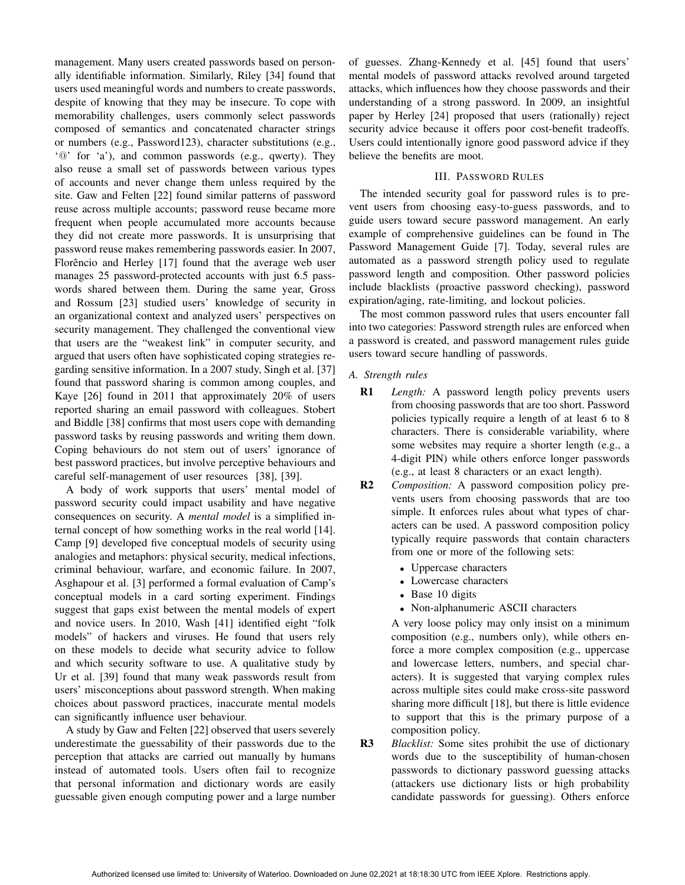management. Many users created passwords based on personally identifiable information. Similarly, Riley [34] found that users used meaningful words and numbers to create passwords, despite of knowing that they may be insecure. To cope with memorability challenges, users commonly select passwords composed of semantics and concatenated character strings or numbers (e.g., Password123), character substitutions (e.g., '@' for 'a'), and common passwords (e.g., qwerty). They also reuse a small set of passwords between various types of accounts and never change them unless required by the site. Gaw and Felten [22] found similar patterns of password reuse across multiple accounts; password reuse became more frequent when people accumulated more accounts because they did not create more passwords. It is unsurprising that password reuse makes remembering passwords easier. In 2007, Florêncio and Herley  $[17]$  found that the average web user manages 25 password-protected accounts with just 6.5 passwords shared between them. During the same year, Gross and Rossum [23] studied users' knowledge of security in an organizational context and analyzed users' perspectives on security management. They challenged the conventional view that users are the "weakest link" in computer security, and argued that users often have sophisticated coping strategies regarding sensitive information. In a 2007 study, Singh et al. [37] found that password sharing is common among couples, and Kaye [26] found in 2011 that approximately 20% of users reported sharing an email password with colleagues. Stobert and Biddle [38] confirms that most users cope with demanding password tasks by reusing passwords and writing them down. Coping behaviours do not stem out of users' ignorance of best password practices, but involve perceptive behaviours and careful self-management of user resources [38], [39].

A body of work supports that users' mental model of password security could impact usability and have negative consequences on security. A *mental model* is a simplified internal concept of how something works in the real world [14]. Camp [9] developed five conceptual models of security using analogies and metaphors: physical security, medical infections, criminal behaviour, warfare, and economic failure. In 2007, Asghapour et al. [3] performed a formal evaluation of Camp's conceptual models in a card sorting experiment. Findings suggest that gaps exist between the mental models of expert and novice users. In 2010, Wash [41] identified eight "folk models" of hackers and viruses. He found that users rely on these models to decide what security advice to follow and which security software to use. A qualitative study by Ur et al. [39] found that many weak passwords result from users' misconceptions about password strength. When making choices about password practices, inaccurate mental models can significantly influence user behaviour.

A study by Gaw and Felten [22] observed that users severely underestimate the guessability of their passwords due to the perception that attacks are carried out manually by humans instead of automated tools. Users often fail to recognize that personal information and dictionary words are easily guessable given enough computing power and a large number

of guesses. Zhang-Kennedy et al. [45] found that users' mental models of password attacks revolved around targeted attacks, which influences how they choose passwords and their understanding of a strong password. In 2009, an insightful paper by Herley [24] proposed that users (rationally) reject security advice because it offers poor cost-benefit tradeoffs. Users could intentionally ignore good password advice if they believe the benefits are moot.

## III. PASSWORD RULES

The intended security goal for password rules is to prevent users from choosing easy-to-guess passwords, and to guide users toward secure password management. An early example of comprehensive guidelines can be found in The Password Management Guide [7]. Today, several rules are automated as a password strength policy used to regulate password length and composition. Other password policies include blacklists (proactive password checking), password expiration/aging, rate-limiting, and lockout policies.

The most common password rules that users encounter fall into two categories: Password strength rules are enforced when a password is created, and password management rules guide users toward secure handling of passwords.

## *A. Strength rules*

- R1 *Length:* A password length policy prevents users from choosing passwords that are too short. Password policies typically require a length of at least 6 to 8 characters. There is considerable variability, where some websites may require a shorter length (e.g., a 4-digit PIN) while others enforce longer passwords (e.g., at least 8 characters or an exact length).
- R2 *Composition:* A password composition policy prevents users from choosing passwords that are too simple. It enforces rules about what types of characters can be used. A password composition policy typically require passwords that contain characters from one or more of the following sets:
	- Uppercase characters
	- Lowercase characters
	- Base 10 digits
	- Non-alphanumeric ASCII characters

A very loose policy may only insist on a minimum composition (e.g., numbers only), while others enforce a more complex composition (e.g., uppercase and lowercase letters, numbers, and special characters). It is suggested that varying complex rules across multiple sites could make cross-site password sharing more difficult [18], but there is little evidence to support that this is the primary purpose of a composition policy.

R3 *Blacklist:* Some sites prohibit the use of dictionary words due to the susceptibility of human-chosen passwords to dictionary password guessing attacks (attackers use dictionary lists or high probability candidate passwords for guessing). Others enforce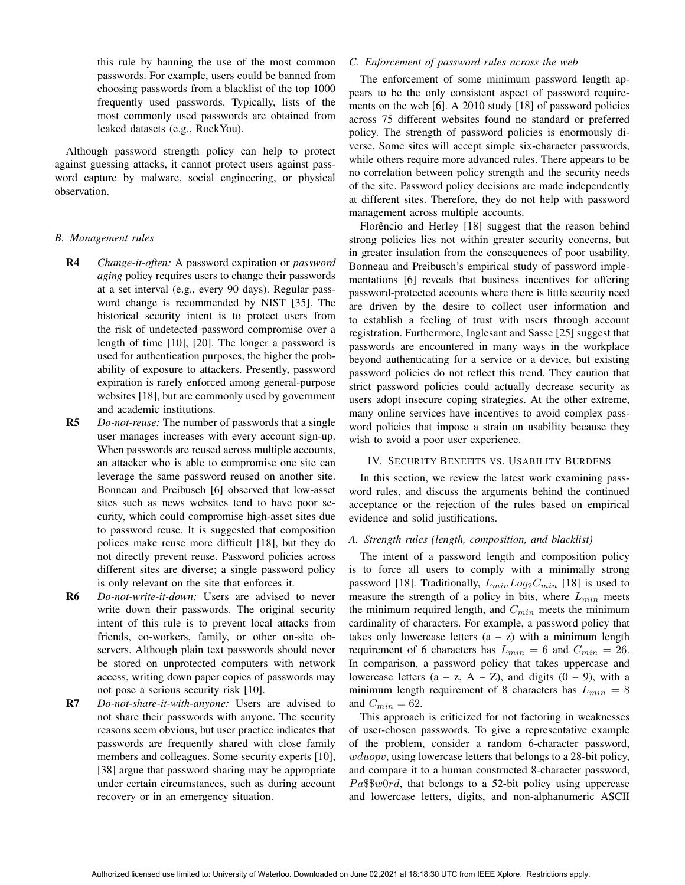this rule by banning the use of the most common passwords. For example, users could be banned from choosing passwords from a blacklist of the top 1000 frequently used passwords. Typically, lists of the most commonly used passwords are obtained from leaked datasets (e.g., RockYou).

Although password strength policy can help to protect against guessing attacks, it cannot protect users against password capture by malware, social engineering, or physical observation.

## *B. Management rules*

R4 *Change-it-often:* A password expiration or *password aging* policy requires users to change their passwords at a set interval (e.g., every 90 days). Regular password change is recommended by NIST [35]. The historical security intent is to protect users from the risk of undetected password compromise over a length of time [10], [20]. The longer a password is used for authentication purposes, the higher the probability of exposure to attackers. Presently, password expiration is rarely enforced among general-purpose websites [18], but are commonly used by government and academic institutions.

R5 *Do-not-reuse:* The number of passwords that a single user manages increases with every account sign-up. When passwords are reused across multiple accounts, an attacker who is able to compromise one site can leverage the same password reused on another site. Bonneau and Preibusch [6] observed that low-asset sites such as news websites tend to have poor security, which could compromise high-asset sites due to password reuse. It is suggested that composition polices make reuse more difficult [18], but they do not directly prevent reuse. Password policies across different sites are diverse; a single password policy is only relevant on the site that enforces it.

R6 *Do-not-write-it-down:* Users are advised to never write down their passwords. The original security intent of this rule is to prevent local attacks from friends, co-workers, family, or other on-site observers. Although plain text passwords should never be stored on unprotected computers with network access, writing down paper copies of passwords may not pose a serious security risk [10].

R7 *Do-not-share-it-with-anyone:* Users are advised to not share their passwords with anyone. The security reasons seem obvious, but user practice indicates that passwords are frequently shared with close family members and colleagues. Some security experts [10], [38] argue that password sharing may be appropriate under certain circumstances, such as during account recovery or in an emergency situation.

## *C. Enforcement of password rules across the web*

The enforcement of some minimum password length appears to be the only consistent aspect of password requirements on the web [6]. A 2010 study [18] of password policies across 75 different websites found no standard or preferred policy. The strength of password policies is enormously diverse. Some sites will accept simple six-character passwords, while others require more advanced rules. There appears to be no correlation between policy strength and the security needs of the site. Password policy decisions are made independently at different sites. Therefore, they do not help with password management across multiple accounts.

Florêncio and Herley [18] suggest that the reason behind strong policies lies not within greater security concerns, but in greater insulation from the consequences of poor usability. Bonneau and Preibusch's empirical study of password implementations [6] reveals that business incentives for offering password-protected accounts where there is little security need are driven by the desire to collect user information and to establish a feeling of trust with users through account registration. Furthermore, Inglesant and Sasse [25] suggest that passwords are encountered in many ways in the workplace beyond authenticating for a service or a device, but existing password policies do not reflect this trend. They caution that strict password policies could actually decrease security as users adopt insecure coping strategies. At the other extreme, many online services have incentives to avoid complex password policies that impose a strain on usability because they wish to avoid a poor user experience.

### IV. SECURITY BENEFITS VS. USABILITY BURDENS

In this section, we review the latest work examining password rules, and discuss the arguments behind the continued acceptance or the rejection of the rules based on empirical evidence and solid justifications.

#### *A. Strength rules (length, composition, and blacklist)*

The intent of a password length and composition policy is to force all users to comply with a minimally strong password [18]. Traditionally,  $L_{min}Log_2C_{min}$  [18] is used to measure the strength of a policy in bits, where  $L_{min}$  meets the minimum required length, and  $C_{min}$  meets the minimum cardinality of characters. For example, a password policy that takes only lowercase letters  $(a - z)$  with a minimum length requirement of 6 characters has  $L_{min} = 6$  and  $C_{min} = 26$ . In comparison, a password policy that takes uppercase and lowercase letters  $(a - z, A - Z)$ , and digits  $(0 - 9)$ , with a minimum length requirement of 8 characters has  $L_{min} = 8$ and  $C_{min} = 62$ .

This approach is criticized for not factoring in weaknesses of user-chosen passwords. To give a representative example of the problem, consider a random 6-character password, wduopv, using lowercase letters that belongs to a 28-bit policy, and compare it to a human constructed 8-character password,  $Pa$w0rd$ , that belongs to a 52-bit policy using uppercase and lowercase letters, digits, and non-alphanumeric ASCII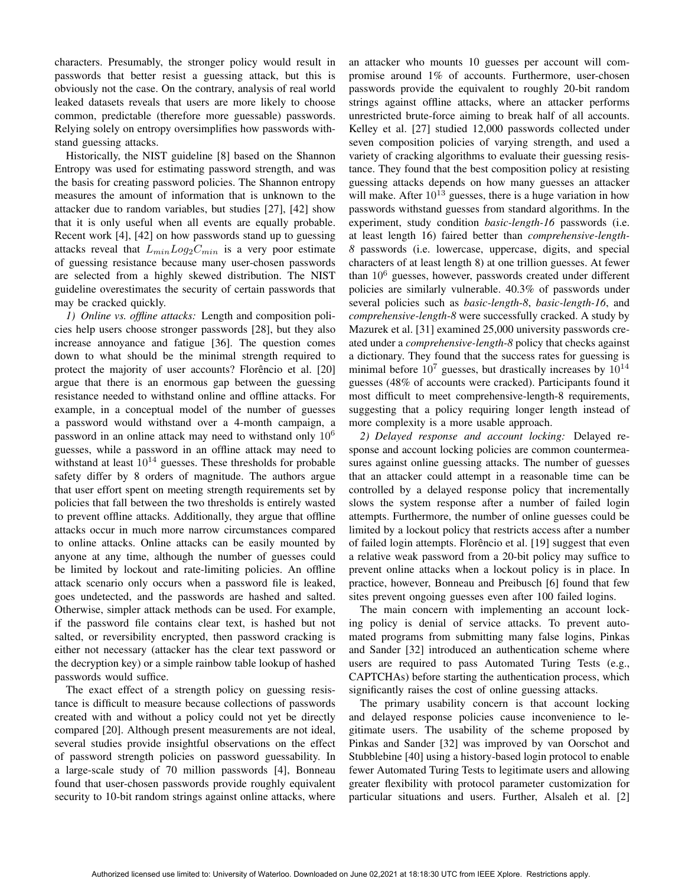characters. Presumably, the stronger policy would result in passwords that better resist a guessing attack, but this is obviously not the case. On the contrary, analysis of real world leaked datasets reveals that users are more likely to choose common, predictable (therefore more guessable) passwords. Relying solely on entropy oversimplifies how passwords withstand guessing attacks.

Historically, the NIST guideline [8] based on the Shannon Entropy was used for estimating password strength, and was the basis for creating password policies. The Shannon entropy measures the amount of information that is unknown to the attacker due to random variables, but studies [27], [42] show that it is only useful when all events are equally probable. Recent work [4], [42] on how passwords stand up to guessing attacks reveal that  $L_{min}Log_2C_{min}$  is a very poor estimate of guessing resistance because many user-chosen passwords are selected from a highly skewed distribution. The NIST guideline overestimates the security of certain passwords that may be cracked quickly.

*1) Online vs. offline attacks:* Length and composition policies help users choose stronger passwords [28], but they also increase annoyance and fatigue [36]. The question comes down to what should be the minimal strength required to protect the majority of user accounts? Florêncio et al. [20] argue that there is an enormous gap between the guessing resistance needed to withstand online and offline attacks. For example, in a conceptual model of the number of guesses a password would withstand over a 4-month campaign, a password in an online attack may need to withstand only  $10^6$ guesses, while a password in an offline attack may need to withstand at least  $10^{14}$  guesses. These thresholds for probable safety differ by 8 orders of magnitude. The authors argue that user effort spent on meeting strength requirements set by policies that fall between the two thresholds is entirely wasted to prevent offline attacks. Additionally, they argue that offline attacks occur in much more narrow circumstances compared to online attacks. Online attacks can be easily mounted by anyone at any time, although the number of guesses could be limited by lockout and rate-limiting policies. An offline attack scenario only occurs when a password file is leaked, goes undetected, and the passwords are hashed and salted. Otherwise, simpler attack methods can be used. For example, if the password file contains clear text, is hashed but not salted, or reversibility encrypted, then password cracking is either not necessary (attacker has the clear text password or the decryption key) or a simple rainbow table lookup of hashed passwords would suffice.

The exact effect of a strength policy on guessing resistance is difficult to measure because collections of passwords created with and without a policy could not yet be directly compared [20]. Although present measurements are not ideal, several studies provide insightful observations on the effect of password strength policies on password guessability. In a large-scale study of 70 million passwords [4], Bonneau found that user-chosen passwords provide roughly equivalent security to 10-bit random strings against online attacks, where an attacker who mounts 10 guesses per account will compromise around 1% of accounts. Furthermore, user-chosen passwords provide the equivalent to roughly 20-bit random strings against offline attacks, where an attacker performs unrestricted brute-force aiming to break half of all accounts. Kelley et al. [27] studied 12,000 passwords collected under seven composition policies of varying strength, and used a variety of cracking algorithms to evaluate their guessing resistance. They found that the best composition policy at resisting guessing attacks depends on how many guesses an attacker will make. After  $10^{13}$  guesses, there is a huge variation in how passwords withstand guesses from standard algorithms. In the experiment, study condition *basic-length-16* passwords (i.e. at least length 16) faired better than *comprehensive-length-8* passwords (i.e. lowercase, uppercase, digits, and special characters of at least length 8) at one trillion guesses. At fewer than 10<sup>6</sup> guesses, however, passwords created under different policies are similarly vulnerable. 40.3% of passwords under several policies such as *basic-length-8*, *basic-length-16*, and *comprehensive-length-8* were successfully cracked. A study by Mazurek et al. [31] examined 25,000 university passwords created under a *comprehensive-length-8* policy that checks against a dictionary. They found that the success rates for guessing is minimal before  $10^7$  guesses, but drastically increases by  $10^{14}$ guesses (48% of accounts were cracked). Participants found it most difficult to meet comprehensive-length-8 requirements, suggesting that a policy requiring longer length instead of more complexity is a more usable approach.

*2) Delayed response and account locking:* Delayed response and account locking policies are common countermeasures against online guessing attacks. The number of guesses that an attacker could attempt in a reasonable time can be controlled by a delayed response policy that incrementally slows the system response after a number of failed login attempts. Furthermore, the number of online guesses could be limited by a lockout policy that restricts access after a number of failed login attempts. Florêncio et al. [19] suggest that even a relative weak password from a 20-bit policy may suffice to prevent online attacks when a lockout policy is in place. In practice, however, Bonneau and Preibusch [6] found that few sites prevent ongoing guesses even after 100 failed logins.

The main concern with implementing an account locking policy is denial of service attacks. To prevent automated programs from submitting many false logins, Pinkas and Sander [32] introduced an authentication scheme where users are required to pass Automated Turing Tests (e.g., CAPTCHAs) before starting the authentication process, which significantly raises the cost of online guessing attacks.

The primary usability concern is that account locking and delayed response policies cause inconvenience to legitimate users. The usability of the scheme proposed by Pinkas and Sander [32] was improved by van Oorschot and Stubblebine [40] using a history-based login protocol to enable fewer Automated Turing Tests to legitimate users and allowing greater flexibility with protocol parameter customization for particular situations and users. Further, Alsaleh et al. [2]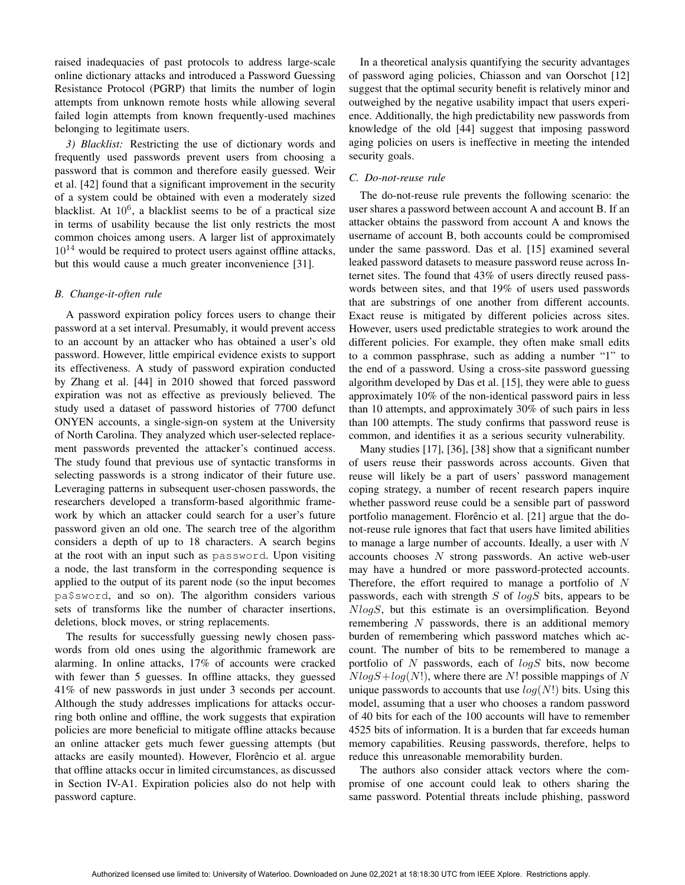raised inadequacies of past protocols to address large-scale online dictionary attacks and introduced a Password Guessing Resistance Protocol (PGRP) that limits the number of login attempts from unknown remote hosts while allowing several failed login attempts from known frequently-used machines belonging to legitimate users.

*3) Blacklist:* Restricting the use of dictionary words and frequently used passwords prevent users from choosing a password that is common and therefore easily guessed. Weir et al. [42] found that a significant improvement in the security of a system could be obtained with even a moderately sized blacklist. At  $10^6$ , a blacklist seems to be of a practical size in terms of usability because the list only restricts the most common choices among users. A larger list of approximately  $10^{14}$  would be required to protect users against offline attacks, but this would cause a much greater inconvenience [31].

#### *B. Change-it-often rule*

A password expiration policy forces users to change their password at a set interval. Presumably, it would prevent access to an account by an attacker who has obtained a user's old password. However, little empirical evidence exists to support its effectiveness. A study of password expiration conducted by Zhang et al. [44] in 2010 showed that forced password expiration was not as effective as previously believed. The study used a dataset of password histories of 7700 defunct ONYEN accounts, a single-sign-on system at the University of North Carolina. They analyzed which user-selected replacement passwords prevented the attacker's continued access. The study found that previous use of syntactic transforms in selecting passwords is a strong indicator of their future use. Leveraging patterns in subsequent user-chosen passwords, the researchers developed a transform-based algorithmic framework by which an attacker could search for a user's future password given an old one. The search tree of the algorithm considers a depth of up to 18 characters. A search begins at the root with an input such as password. Upon visiting a node, the last transform in the corresponding sequence is applied to the output of its parent node (so the input becomes pa\$sword, and so on). The algorithm considers various sets of transforms like the number of character insertions, deletions, block moves, or string replacements.

The results for successfully guessing newly chosen passwords from old ones using the algorithmic framework are alarming. In online attacks, 17% of accounts were cracked with fewer than 5 guesses. In offline attacks, they guessed 41% of new passwords in just under 3 seconds per account. Although the study addresses implications for attacks occurring both online and offline, the work suggests that expiration policies are more beneficial to mitigate offline attacks because an online attacker gets much fewer guessing attempts (but attacks are easily mounted). However, Florêncio et al. argue that offline attacks occur in limited circumstances, as discussed in Section IV-A1. Expiration policies also do not help with password capture.

In a theoretical analysis quantifying the security advantages of password aging policies, Chiasson and van Oorschot [12] suggest that the optimal security benefit is relatively minor and outweighed by the negative usability impact that users experience. Additionally, the high predictability new passwords from knowledge of the old [44] suggest that imposing password aging policies on users is ineffective in meeting the intended security goals.

#### *C. Do-not-reuse rule*

The do-not-reuse rule prevents the following scenario: the user shares a password between account A and account B. If an attacker obtains the password from account A and knows the username of account B, both accounts could be compromised under the same password. Das et al. [15] examined several leaked password datasets to measure password reuse across Internet sites. The found that 43% of users directly reused passwords between sites, and that 19% of users used passwords that are substrings of one another from different accounts. Exact reuse is mitigated by different policies across sites. However, users used predictable strategies to work around the different policies. For example, they often make small edits to a common passphrase, such as adding a number "1" to the end of a password. Using a cross-site password guessing algorithm developed by Das et al. [15], they were able to guess approximately 10% of the non-identical password pairs in less than 10 attempts, and approximately 30% of such pairs in less than 100 attempts. The study confirms that password reuse is common, and identifies it as a serious security vulnerability.

Many studies [17], [36], [38] show that a significant number of users reuse their passwords across accounts. Given that reuse will likely be a part of users' password management coping strategy, a number of recent research papers inquire whether password reuse could be a sensible part of password portfolio management. Florêncio et al. [21] argue that the donot-reuse rule ignores that fact that users have limited abilities to manage a large number of accounts. Ideally, a user with N accounts chooses  $N$  strong passwords. An active web-user may have a hundred or more password-protected accounts. Therefore, the effort required to manage a portfolio of N passwords, each with strength  $S$  of  $log S$  bits, appears to be NlogS, but this estimate is an oversimplification. Beyond remembering  $N$  passwords, there is an additional memory burden of remembering which password matches which account. The number of bits to be remembered to manage a portfolio of  $N$  passwords, each of  $log S$  bits, now become  $NlogS + log(N!)$ , where there are N! possible mappings of N unique passwords to accounts that use  $log(N!)$  bits. Using this model, assuming that a user who chooses a random password of 40 bits for each of the 100 accounts will have to remember 4525 bits of information. It is a burden that far exceeds human memory capabilities. Reusing passwords, therefore, helps to reduce this unreasonable memorability burden.

The authors also consider attack vectors where the compromise of one account could leak to others sharing the same password. Potential threats include phishing, password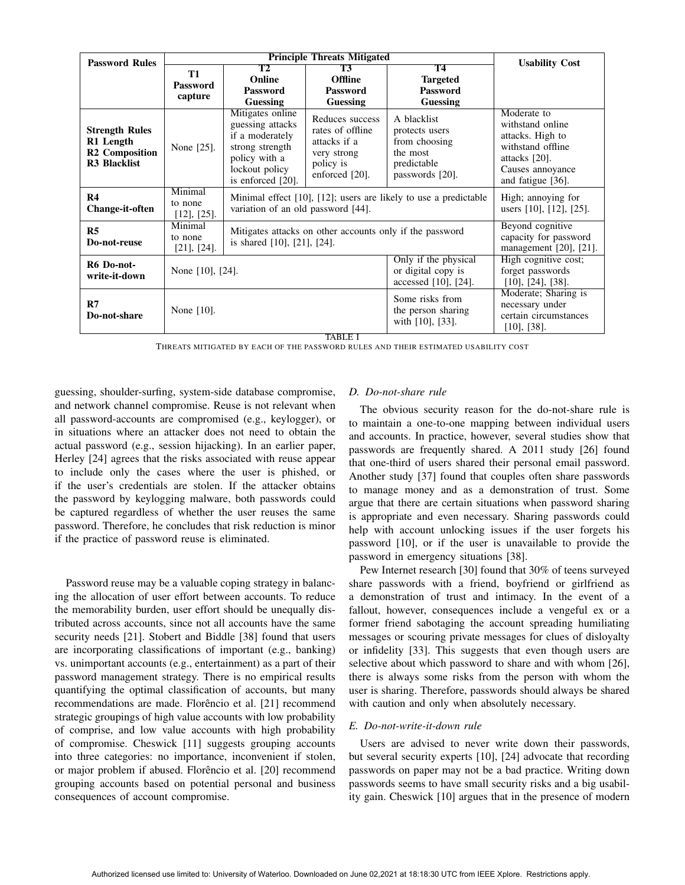| <b>Password Rules</b>                                                              |                                         | <b>Usability Cost</b>                                                                                                              |                                                                                                   |                                                                                              |                                                                                                                                       |  |  |
|------------------------------------------------------------------------------------|-----------------------------------------|------------------------------------------------------------------------------------------------------------------------------------|---------------------------------------------------------------------------------------------------|----------------------------------------------------------------------------------------------|---------------------------------------------------------------------------------------------------------------------------------------|--|--|
|                                                                                    | <b>T1</b><br>Password<br>capture        | <b>T2</b><br>Online<br><b>Password</b><br>Guessing                                                                                 | <b>T3</b><br><b>Offline</b><br><b>Password</b><br>Guessing                                        | <b>T4</b><br><b>Targeted</b><br><b>Password</b><br>Guessing                                  |                                                                                                                                       |  |  |
| <b>Strength Rules</b><br>R1 Length<br><b>R2</b> Composition<br><b>R3 Blacklist</b> | None [25].                              | Mitigates online<br>guessing attacks<br>if a moderately<br>strong strength<br>policy with a<br>lockout policy<br>is enforced [20]. | Reduces success<br>rates of offline<br>attacks if a<br>very strong<br>policy is<br>enforced [20]. | A blacklist<br>protects users<br>from choosing<br>the most<br>predictable<br>passwords [20]. | Moderate to<br>withstand online<br>attacks. High to<br>withstand offline<br>attacks $[20]$ .<br>Causes annoyance<br>and fatigue [36]. |  |  |
| R <sub>4</sub><br><b>Change-it-often</b>                                           | Minimal<br>to none<br>$[12]$ , $[25]$ . | Minimal effect [10], [12]; users are likely to use a predictable<br>variation of an old password [44].                             | High; annoying for<br>users [10], [12], [25].                                                     |                                                                                              |                                                                                                                                       |  |  |
| R <sub>5</sub><br>Do-not-reuse                                                     | Minimal<br>to none<br>$[21]$ , $[24]$ . | Mitigates attacks on other accounts only if the password<br>is shared [10], [21], [24].                                            | Beyond cognitive<br>capacity for password<br>management $[20]$ , $[21]$ .                         |                                                                                              |                                                                                                                                       |  |  |
| R6 Do-not-<br>write-it-down                                                        | None [10], [24].                        |                                                                                                                                    |                                                                                                   | Only if the physical<br>or digital copy is<br>accessed [10], [24].                           | High cognitive cost;<br>forget passwords<br>$[10]$ , $[24]$ , $[38]$ .                                                                |  |  |
| R7<br>Do-not-share                                                                 | None $[10]$ .                           |                                                                                                                                    |                                                                                                   | Some risks from<br>the person sharing<br>with [10], [33].                                    | Moderate; Sharing is<br>necessary under<br>certain circumstances<br>$[10]$ , $[38]$ .                                                 |  |  |
| TABLE I                                                                            |                                         |                                                                                                                                    |                                                                                                   |                                                                                              |                                                                                                                                       |  |  |

THREATS MITIGATED BY EACH OF THE PASSWORD RULES AND THEIR ESTIMATED USABILITY COST

guessing, shoulder-surfing, system-side database compromise, and network channel compromise. Reuse is not relevant when all password-accounts are compromised (e.g., keylogger), or in situations where an attacker does not need to obtain the actual password (e.g., session hijacking). In an earlier paper, Herley [24] agrees that the risks associated with reuse appear to include only the cases where the user is phished, or if the user's credentials are stolen. If the attacker obtains the password by keylogging malware, both passwords could be captured regardless of whether the user reuses the same password. Therefore, he concludes that risk reduction is minor if the practice of password reuse is eliminated.

Password reuse may be a valuable coping strategy in balancing the allocation of user effort between accounts. To reduce the memorability burden, user effort should be unequally distributed across accounts, since not all accounts have the same security needs [21]. Stobert and Biddle [38] found that users are incorporating classifications of important (e.g., banking) vs. unimportant accounts (e.g., entertainment) as a part of their password management strategy. There is no empirical results quantifying the optimal classification of accounts, but many recommendations are made. Florêncio et al. [21] recommend strategic groupings of high value accounts with low probability of comprise, and low value accounts with high probability of compromise. Cheswick [11] suggests grouping accounts into three categories: no importance, inconvenient if stolen, or major problem if abused. Florêncio et al. [20] recommend grouping accounts based on potential personal and business consequences of account compromise.

## *D. Do-not-share rule*

The obvious security reason for the do-not-share rule is to maintain a one-to-one mapping between individual users and accounts. In practice, however, several studies show that passwords are frequently shared. A 2011 study [26] found that one-third of users shared their personal email password. Another study [37] found that couples often share passwords to manage money and as a demonstration of trust. Some argue that there are certain situations when password sharing is appropriate and even necessary. Sharing passwords could help with account unlocking issues if the user forgets his password [10], or if the user is unavailable to provide the password in emergency situations [38].

Pew Internet research [30] found that 30% of teens surveyed share passwords with a friend, boyfriend or girlfriend as a demonstration of trust and intimacy. In the event of a fallout, however, consequences include a vengeful ex or a former friend sabotaging the account spreading humiliating messages or scouring private messages for clues of disloyalty or infidelity [33]. This suggests that even though users are selective about which password to share and with whom [26], there is always some risks from the person with whom the user is sharing. Therefore, passwords should always be shared with caution and only when absolutely necessary.

## *E. Do-not-write-it-down rule*

Users are advised to never write down their passwords, but several security experts [10], [24] advocate that recording passwords on paper may not be a bad practice. Writing down passwords seems to have small security risks and a big usability gain. Cheswick [10] argues that in the presence of modern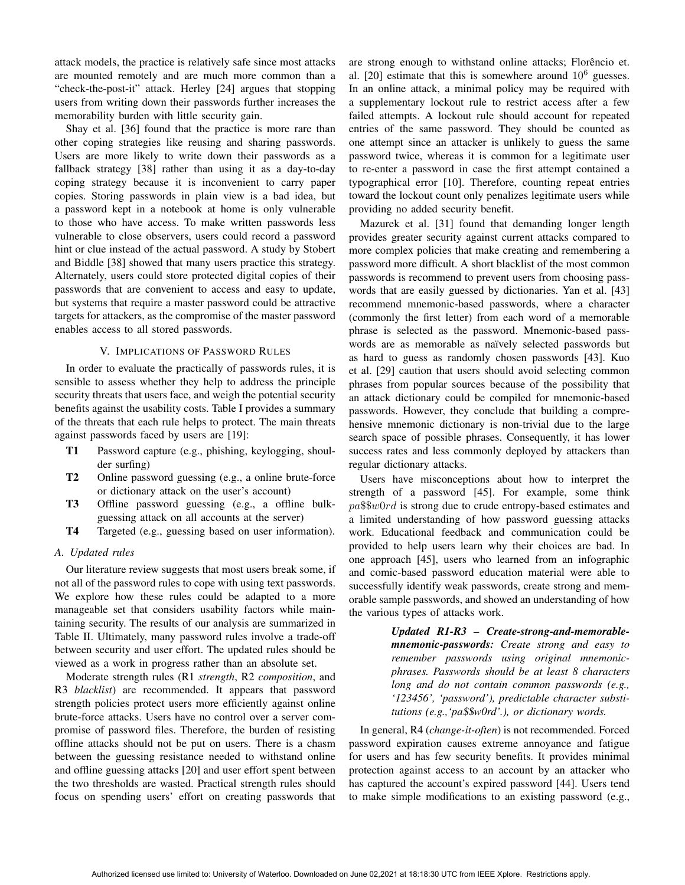attack models, the practice is relatively safe since most attacks are mounted remotely and are much more common than a "check-the-post-it" attack. Herley [24] argues that stopping users from writing down their passwords further increases the memorability burden with little security gain.

Shay et al. [36] found that the practice is more rare than other coping strategies like reusing and sharing passwords. Users are more likely to write down their passwords as a fallback strategy [38] rather than using it as a day-to-day coping strategy because it is inconvenient to carry paper copies. Storing passwords in plain view is a bad idea, but a password kept in a notebook at home is only vulnerable to those who have access. To make written passwords less vulnerable to close observers, users could record a password hint or clue instead of the actual password. A study by Stobert and Biddle [38] showed that many users practice this strategy. Alternately, users could store protected digital copies of their passwords that are convenient to access and easy to update, but systems that require a master password could be attractive targets for attackers, as the compromise of the master password enables access to all stored passwords.

## V. IMPLICATIONS OF PASSWORD RULES

In order to evaluate the practically of passwords rules, it is sensible to assess whether they help to address the principle security threats that users face, and weigh the potential security benefits against the usability costs. Table I provides a summary of the threats that each rule helps to protect. The main threats against passwords faced by users are [19]:

- T1 Password capture (e.g., phishing, keylogging, shoulder surfing)
- T2 Online password guessing (e.g., a online brute-force or dictionary attack on the user's account)
- T3 Offline password guessing (e.g., a offline bulkguessing attack on all accounts at the server)
- T4 Targeted (e.g., guessing based on user information).

## *A. Updated rules*

Our literature review suggests that most users break some, if not all of the password rules to cope with using text passwords. We explore how these rules could be adapted to a more manageable set that considers usability factors while maintaining security. The results of our analysis are summarized in Table II. Ultimately, many password rules involve a trade-off between security and user effort. The updated rules should be viewed as a work in progress rather than an absolute set.

Moderate strength rules (R1 *strength*, R2 *composition*, and R3 *blacklist*) are recommended. It appears that password strength policies protect users more efficiently against online brute-force attacks. Users have no control over a server compromise of password files. Therefore, the burden of resisting offline attacks should not be put on users. There is a chasm between the guessing resistance needed to withstand online and offline guessing attacks [20] and user effort spent between the two thresholds are wasted. Practical strength rules should focus on spending users' effort on creating passwords that

are strong enough to withstand online attacks; Florêncio et. al. [20] estimate that this is somewhere around  $10^6$  guesses. In an online attack, a minimal policy may be required with a supplementary lockout rule to restrict access after a few failed attempts. A lockout rule should account for repeated entries of the same password. They should be counted as one attempt since an attacker is unlikely to guess the same password twice, whereas it is common for a legitimate user to re-enter a password in case the first attempt contained a typographical error [10]. Therefore, counting repeat entries toward the lockout count only penalizes legitimate users while providing no added security benefit.

Mazurek et al. [31] found that demanding longer length provides greater security against current attacks compared to more complex policies that make creating and remembering a password more difficult. A short blacklist of the most common passwords is recommend to prevent users from choosing passwords that are easily guessed by dictionaries. Yan et al. [43] recommend mnemonic-based passwords, where a character (commonly the first letter) from each word of a memorable phrase is selected as the password. Mnemonic-based passwords are as memorable as naïvely selected passwords but as hard to guess as randomly chosen passwords [43]. Kuo et al. [29] caution that users should avoid selecting common phrases from popular sources because of the possibility that an attack dictionary could be compiled for mnemonic-based passwords. However, they conclude that building a comprehensive mnemonic dictionary is non-trivial due to the large search space of possible phrases. Consequently, it has lower success rates and less commonly deployed by attackers than regular dictionary attacks.

Users have misconceptions about how to interpret the strength of a password [45]. For example, some think pa\$\$w0rd is strong due to crude entropy-based estimates and a limited understanding of how password guessing attacks work. Educational feedback and communication could be provided to help users learn why their choices are bad. In one approach [45], users who learned from an infographic and comic-based password education material were able to successfully identify weak passwords, create strong and memorable sample passwords, and showed an understanding of how the various types of attacks work.

> *Updated R1-R3 – Create-strong-and-memorablemnemonic-passwords: Create strong and easy to remember passwords using original mnemonicphrases. Passwords should be at least 8 characters long and do not contain common passwords (e.g., '123456', 'password'), predictable character substitutions (e.g.,'pa*\$\$*w0rd'.), or dictionary words.*

In general, R4 (*change-it-often*) is not recommended. Forced password expiration causes extreme annoyance and fatigue for users and has few security benefits. It provides minimal protection against access to an account by an attacker who has captured the account's expired password [44]. Users tend to make simple modifications to an existing password (e.g.,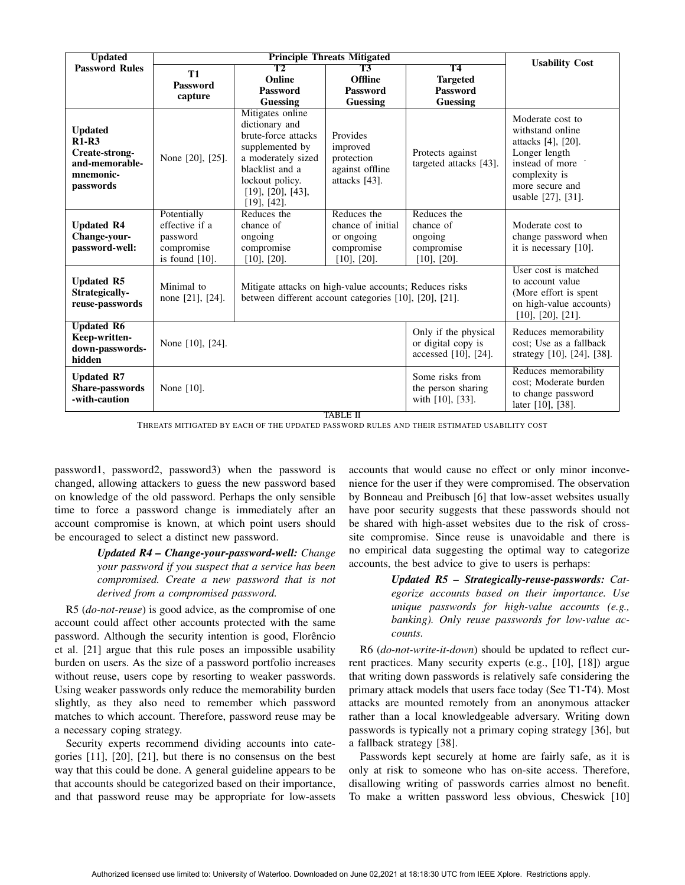| <b>Updated</b>                                                                          |                                                                              |                                                                                                                                                                                             | <b>Usability Cost</b>                                                             |                                                                                                                            |                                                                                                                                                            |  |  |  |
|-----------------------------------------------------------------------------------------|------------------------------------------------------------------------------|---------------------------------------------------------------------------------------------------------------------------------------------------------------------------------------------|-----------------------------------------------------------------------------------|----------------------------------------------------------------------------------------------------------------------------|------------------------------------------------------------------------------------------------------------------------------------------------------------|--|--|--|
| <b>Password Rules</b>                                                                   | <b>T1</b>                                                                    | T2                                                                                                                                                                                          | T3                                                                                | <b>T4</b>                                                                                                                  |                                                                                                                                                            |  |  |  |
|                                                                                         | <b>Password</b>                                                              | Online                                                                                                                                                                                      | Offline                                                                           | <b>Targeted</b>                                                                                                            |                                                                                                                                                            |  |  |  |
|                                                                                         | capture                                                                      | <b>Password</b>                                                                                                                                                                             | <b>Password</b>                                                                   | <b>Password</b>                                                                                                            |                                                                                                                                                            |  |  |  |
|                                                                                         |                                                                              | Guessing                                                                                                                                                                                    | Guessing                                                                          | Guessing                                                                                                                   |                                                                                                                                                            |  |  |  |
| <b>Updated</b><br>$R1-R3$<br>Create-strong-<br>and-memorable-<br>mnemonic-<br>passwords | None [20], [25].                                                             | Mitigates online<br>dictionary and<br>brute-force attacks<br>supplemented by<br>a moderately sized<br>blacklist and a<br>lockout policy.<br>$[19]$ , $[20]$ , $[43]$ ,<br>$[19]$ , $[42]$ . | Provides<br>improved<br>protection<br>against offline<br>attacks [43].            | Protects against<br>targeted attacks [43].                                                                                 | Moderate cost to<br>withstand online<br>attacks [4], [20].<br>Longer length<br>instead of more .<br>complexity is<br>more secure and<br>usable [27], [31]. |  |  |  |
| <b>Updated R4</b><br>Change-your-<br>password-well:                                     | Potentially<br>effective if a<br>password<br>compromise<br>is found $[10]$ . | Reduces the<br>chance of<br>ongoing<br>compromise<br>$[10]$ , $[20]$ .                                                                                                                      | Reduces the<br>chance of initial<br>or ongoing<br>compromise<br>$[10]$ , $[20]$ . | Reduces the<br>chance of<br>ongoing<br>compromise<br>$[10]$ , $[20]$ .                                                     | Moderate cost to<br>change password when<br>it is necessary $[10]$ .                                                                                       |  |  |  |
| <b>Updated R5</b><br>Strategically-<br>reuse-passwords                                  | Minimal to<br>none [21], [24].                                               | Mitigate attacks on high-value accounts; Reduces risks<br>between different account categories [10], [20], [21].                                                                            |                                                                                   | User cost is matched<br>to account value<br>(More effort is spent<br>on high-value accounts)<br>$[10]$ , $[20]$ , $[21]$ . |                                                                                                                                                            |  |  |  |
| <b>Updated R6</b><br>Keep-written-<br>down-passwords-<br>hidden                         | None [10], [24].                                                             |                                                                                                                                                                                             | Only if the physical<br>or digital copy is<br>accessed [10], [24].                | Reduces memorability<br>cost: Use as a fallback<br>strategy [10], [24], [38].                                              |                                                                                                                                                            |  |  |  |
| <b>Updated R7</b><br>Share-passwords<br>-with-caution                                   | None [10].                                                                   |                                                                                                                                                                                             | Some risks from<br>the person sharing<br>with [10], [33].                         | Reduces memorability<br>cost: Moderate burden<br>to change password<br>later [10], [38].                                   |                                                                                                                                                            |  |  |  |
| <b>TABLE II</b>                                                                         |                                                                              |                                                                                                                                                                                             |                                                                                   |                                                                                                                            |                                                                                                                                                            |  |  |  |

THREATS MITIGATED BY EACH OF THE UPDATED PASSWORD RULES AND THEIR ESTIMATED USABILITY COST

password1, password2, password3) when the password is changed, allowing attackers to guess the new password based on knowledge of the old password. Perhaps the only sensible time to force a password change is immediately after an account compromise is known, at which point users should be encouraged to select a distinct new password.

> *Updated R4 – Change-your-password-well: Change your password if you suspect that a service has been compromised. Create a new password that is not derived from a compromised password.*

R5 (*do-not-reuse*) is good advice, as the compromise of one account could affect other accounts protected with the same password. Although the security intention is good, Florêncio et al. [21] argue that this rule poses an impossible usability burden on users. As the size of a password portfolio increases without reuse, users cope by resorting to weaker passwords. Using weaker passwords only reduce the memorability burden slightly, as they also need to remember which password matches to which account. Therefore, password reuse may be a necessary coping strategy.

Security experts recommend dividing accounts into categories [11], [20], [21], but there is no consensus on the best way that this could be done. A general guideline appears to be that accounts should be categorized based on their importance, and that password reuse may be appropriate for low-assets

accounts that would cause no effect or only minor inconvenience for the user if they were compromised. The observation by Bonneau and Preibusch [6] that low-asset websites usually have poor security suggests that these passwords should not be shared with high-asset websites due to the risk of crosssite compromise. Since reuse is unavoidable and there is no empirical data suggesting the optimal way to categorize accounts, the best advice to give to users is perhaps:

> *Updated R5 – Strategically-reuse-passwords: Categorize accounts based on their importance. Use unique passwords for high-value accounts (e.g., banking). Only reuse passwords for low-value accounts.*

R6 (*do-not-write-it-down*) should be updated to reflect current practices. Many security experts (e.g., [10], [18]) argue that writing down passwords is relatively safe considering the primary attack models that users face today (See T1-T4). Most attacks are mounted remotely from an anonymous attacker rather than a local knowledgeable adversary. Writing down passwords is typically not a primary coping strategy [36], but a fallback strategy [38].

Passwords kept securely at home are fairly safe, as it is only at risk to someone who has on-site access. Therefore, disallowing writing of passwords carries almost no benefit. To make a written password less obvious, Cheswick [10]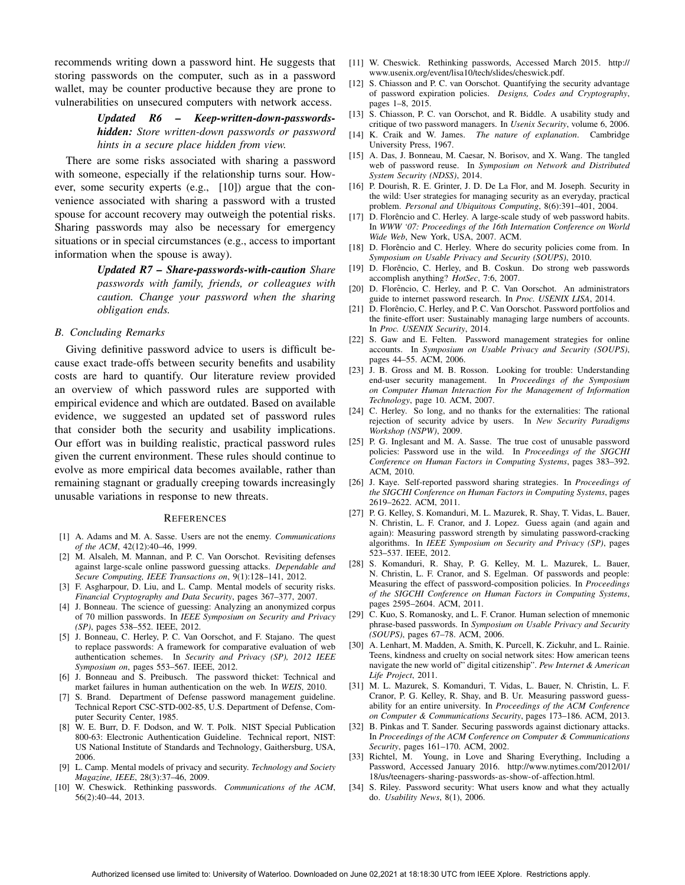recommends writing down a password hint. He suggests that storing passwords on the computer, such as in a password wallet, may be counter productive because they are prone to vulnerabilities on unsecured computers with network access.

> *Updated R6 – Keep-written-down-passwordshidden: Store written-down passwords or password hints in a secure place hidden from view.*

There are some risks associated with sharing a password with someone, especially if the relationship turns sour. However, some security experts (e.g., [10]) argue that the convenience associated with sharing a password with a trusted spouse for account recovery may outweigh the potential risks. Sharing passwords may also be necessary for emergency situations or in special circumstances (e.g., access to important information when the spouse is away).

> *Updated R7 – Share-passwords-with-caution Share passwords with family, friends, or colleagues with caution. Change your password when the sharing obligation ends.*

#### *B. Concluding Remarks*

Giving definitive password advice to users is difficult because exact trade-offs between security benefits and usability costs are hard to quantify. Our literature review provided an overview of which password rules are supported with empirical evidence and which are outdated. Based on available evidence, we suggested an updated set of password rules that consider both the security and usability implications. Our effort was in building realistic, practical password rules given the current environment. These rules should continue to evolve as more empirical data becomes available, rather than remaining stagnant or gradually creeping towards increasingly unusable variations in response to new threats.

#### **REFERENCES**

- [1] A. Adams and M. A. Sasse. Users are not the enemy. *Communications of the ACM*, 42(12):40–46, 1999.
- [2] M. Alsaleh, M. Mannan, and P. C. Van Oorschot. Revisiting defenses against large-scale online password guessing attacks. *Dependable and Secure Computing, IEEE Transactions on*, 9(1):128–141, 2012.
- [3] F. Asgharpour, D. Liu, and L. Camp. Mental models of security risks. *Financial Cryptography and Data Security*, pages 367–377, 2007.
- [4] J. Bonneau. The science of guessing: Analyzing an anonymized corpus of 70 million passwords. In *IEEE Symposium on Security and Privacy (SP)*, pages 538–552. IEEE, 2012.
- [5] J. Bonneau, C. Herley, P. C. Van Oorschot, and F. Stajano. The quest to replace passwords: A framework for comparative evaluation of web authentication schemes. In *Security and Privacy (SP), 2012 IEEE Symposium on*, pages 553–567. IEEE, 2012.
- [6] J. Bonneau and S. Preibusch. The password thicket: Technical and market failures in human authentication on the web. In *WEIS*, 2010.
- [7] S. Brand. Department of Defense password management guideline. Technical Report CSC-STD-002-85, U.S. Department of Defense, Computer Security Center, 1985.
- [8] W. E. Burr, D. F. Dodson, and W. T. Polk. NIST Special Publication 800-63: Electronic Authentication Guideline. Technical report, NIST: US National Institute of Standards and Technology, Gaithersburg, USA, 2006.
- [9] L. Camp. Mental models of privacy and security. *Technology and Society Magazine, IEEE*, 28(3):37–46, 2009.
- [10] W. Cheswick. Rethinking passwords. *Communications of the ACM*, 56(2):40–44, 2013.
- [11] W. Cheswick. Rethinking passwords, Accessed March 2015. http:// www.usenix.org/event/lisa10/tech/slides/cheswick.pdf.
- [12] S. Chiasson and P. C. van Oorschot. Quantifying the security advantage of password expiration policies. *Designs, Codes and Cryptography*, pages 1–8, 2015.
- [13] S. Chiasson, P. C. van Oorschot, and R. Biddle. A usability study and critique of two password managers. In *Usenix Security*, volume 6, 2006.
- [14] K. Craik and W. James. *The nature of explanation*. Cambridge University Press, 1967.
- [15] A. Das, J. Bonneau, M. Caesar, N. Borisov, and X. Wang. The tangled web of password reuse. In *Symposium on Network and Distributed System Security (NDSS)*, 2014.
- [16] P. Dourish, R. E. Grinter, J. D. De La Flor, and M. Joseph. Security in the wild: User strategies for managing security as an everyday, practical problem. *Personal and Ubiquitous Computing*, 8(6):391–401, 2004.
- [17] D. Florêncio and C. Herley. A large-scale study of web password habits. In *WWW '07: Proceedings of the 16th Internation Conference on World Wide Web*, New York, USA, 2007. ACM.
- [18] D. Florêncio and C. Herley. Where do security policies come from. In *Symposium on Usable Privacy and Security (SOUPS)*, 2010.
- [19] D. Florêncio, C. Herley, and B. Coskun. Do strong web passwords accomplish anything? *HotSec*, 7:6, 2007.
- [20] D. Florêncio, C. Herley, and P. C. Van Oorschot. An administrators guide to internet password research. In *Proc. USENIX LISA*, 2014.
- [21] D. Florêncio, C. Herley, and P. C. Van Oorschot. Password portfolios and the finite-effort user: Sustainably managing large numbers of accounts. In *Proc. USENIX Security*, 2014.
- [22] S. Gaw and E. Felten. Password management strategies for online accounts. In *Symposium on Usable Privacy and Security (SOUPS)*, pages 44–55. ACM, 2006.
- [23] J. B. Gross and M. B. Rosson. Looking for trouble: Understanding end-user security management. In *Proceedings of the Symposium on Computer Human Interaction For the Management of Information Technology*, page 10. ACM, 2007.
- [24] C. Herley. So long, and no thanks for the externalities: The rational rejection of security advice by users. In *New Security Paradigms Workshop (NSPW)*, 2009.
- [25] P. G. Inglesant and M. A. Sasse. The true cost of unusable password policies: Password use in the wild. In *Proceedings of the SIGCHI Conference on Human Factors in Computing Systems*, pages 383–392. ACM, 2010.
- [26] J. Kaye. Self-reported password sharing strategies. In *Proceedings of the SIGCHI Conference on Human Factors in Computing Systems*, pages 2619–2622. ACM, 2011.
- [27] P. G. Kelley, S. Komanduri, M. L. Mazurek, R. Shay, T. Vidas, L. Bauer, N. Christin, L. F. Cranor, and J. Lopez. Guess again (and again and again): Measuring password strength by simulating password-cracking algorithms. In *IEEE Symposium on Security and Privacy (SP)*, pages 523–537. IEEE, 2012.
- [28] S. Komanduri, R. Shay, P. G. Kelley, M. L. Mazurek, L. Bauer, N. Christin, L. F. Cranor, and S. Egelman. Of passwords and people: Measuring the effect of password-composition policies. In *Proceedings of the SIGCHI Conference on Human Factors in Computing Systems*, pages 2595–2604. ACM, 2011.
- [29] C. Kuo, S. Romanosky, and L. F. Cranor. Human selection of mnemonic phrase-based passwords. In *Symposium on Usable Privacy and Security (SOUPS)*, pages 67–78. ACM, 2006.
- [30] A. Lenhart, M. Madden, A. Smith, K. Purcell, K. Zickuhr, and L. Rainie. Teens, kindness and cruelty on social network sites: How american teens navigate the new world of" digital citizenship". *Pew Internet & American Life Project*, 2011.
- [31] M. L. Mazurek, S. Komanduri, T. Vidas, L. Bauer, N. Christin, L. F. Cranor, P. G. Kelley, R. Shay, and B. Ur. Measuring password guessability for an entire university. In *Proceedings of the ACM Conference on Computer & Communications Security*, pages 173–186. ACM, 2013.
- [32] B. Pinkas and T. Sander. Securing passwords against dictionary attacks. In *Proceedings of the ACM Conference on Computer & Communications Security*, pages 161–170. ACM, 2002.
- [33] Richtel, M. Young, in Love and Sharing Everything, Including a Password, Accessed January 2016. http://www.nytimes.com/2012/01/ 18/us/teenagers-sharing-passwords-as-show-of-affection.html.
- [34] S. Riley. Password security: What users know and what they actually do. *Usability News*, 8(1), 2006.